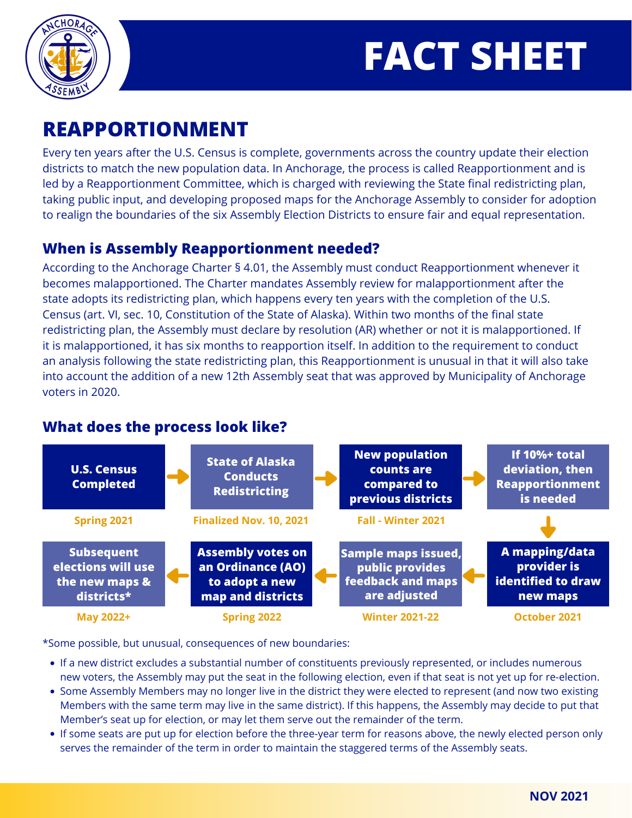



# **REAPPORTIONMENT**

Every ten years after the U.S. Census is complete, governments across the country update their election districts to match the new population data. In Anchorage, the process is called Reapportionment and is led by a Reapportionment Committee, which is charged with reviewing the State final redistricting plan, taking public input, and developing proposed maps for the Anchorage Assembly to consider for adoption to realign the boundaries of the six Assembly Election Districts to ensure fair and equal representation.

### **When is Assembly Reapportionment needed?**

According to the Anchorage Charter § 4.01, the Assembly must conduct Reapportionment whenever it becomes malapportioned. The Charter mandates Assembly review for malapportionment after the state adopts its redistricting plan, which happens every ten years with the completion of the U.S. Census (art. VI, sec. 10, Constitution of the State of Alaska). Within two months of the final state redistricting plan, the Assembly must declare by resolution (AR) whether or not it is malapportioned. If it is malapportioned, it has six months to reapportion itself. In addition to the requirement to conduct an analysis following the state redistricting plan, this Reapportionment is unusual in that it will also take into account the addition of a new 12th Assembly seat that was approved by Municipality of Anchorage voters in 2020.

#### **U.S. Census Completed State of Alaska Conducts Redistricting New population counts are compared to previous districts If 10%+ total deviation, then Reapportionment is needed A mapping/data provider is identified to draw new maps Sample maps issued, public provides feedback and maps are adjusted Assembly votes on an Ordinance (AO) to adopt a new map and districts Subsequent elections will use the new maps & districts\* Spring 2021 Finalized Nov. 10, 2021 Fall - Winter 2021 May 2022+ Spring 2022 Winter 2021-22 October 2021**

## **What does the process look like?**

\*Some possible, but unusual, consequences of new boundaries:

- If a new district excludes a substantial number of constituents previously represented, or includes numerous new voters, the Assembly may put the seat in the following election, even if that seat is not yet up for re-election.
- Some Assembly Members may no longer live in the district they were elected to represent (and now two existing Members with the same term may live in the same district). If this happens, the Assembly may decide to put that Member's seat up for election, or may let them serve out the remainder of the term.
- If some seats are put up for election before the three-year term for reasons above, the newly elected person only serves the remainder of the term in order to maintain the staggered terms of the Assembly seats.